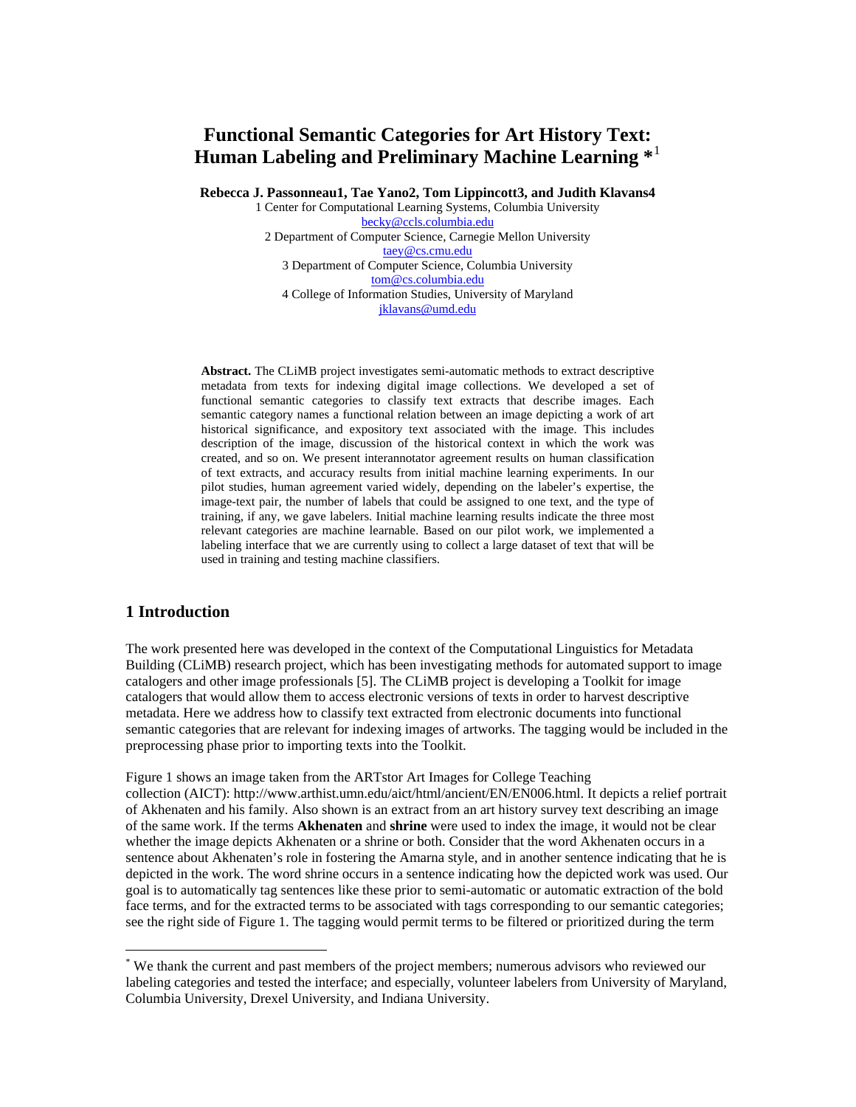# **Functional Semantic Categories for Art History Text: Human Labeling and Preliminary Machine Learning \***[1](#page-0-0)

**Rebecca J. Passonneau1, Tae Yano2, Tom Lippincott3, and Judith Klavans4** 

1 Center for Computational Learning Systems, Columbia University [becky@ccls.columbia.edu](mailto:becky@ccls.columbia.edu) 2 Department of Computer Science, Carnegie Mellon University [taey@cs.cmu.edu](mailto:taey@cs.cmu.edu)  3 Department of Computer Science, Columbia University [tom@cs.columbia.edu](mailto:tom@cs.columbia.edu) 4 College of Information Studies, University of Maryland [jklavans@umd.edu](mailto:jklavans@umd.edu)

**Abstract.** The CLiMB project investigates semi-automatic methods to extract descriptive metadata from texts for indexing digital image collections. We developed a set of functional semantic categories to classify text extracts that describe images. Each semantic category names a functional relation between an image depicting a work of art historical significance, and expository text associated with the image. This includes description of the image, discussion of the historical context in which the work was created, and so on. We present interannotator agreement results on human classification of text extracts, and accuracy results from initial machine learning experiments. In our pilot studies, human agreement varied widely, depending on the labeler's expertise, the image-text pair, the number of labels that could be assigned to one text, and the type of training, if any, we gave labelers. Initial machine learning results indicate the three most relevant categories are machine learnable. Based on our pilot work, we implemented a labeling interface that we are currently using to collect a large dataset of text that will be used in training and testing machine classifiers.

### **1 Introduction**

 $\overline{a}$ 

The work presented here was developed in the context of the Computational Linguistics for Metadata Building (CLiMB) research project, which has been investigating methods for automated support to image catalogers and other image professionals [5]. The CLiMB project is developing a Toolkit for image catalogers that would allow them to access electronic versions of texts in order to harvest descriptive metadata. Here we address how to classify text extracted from electronic documents into functional semantic categories that are relevant for indexing images of artworks. The tagging would be included in the preprocessing phase prior to importing texts into the Toolkit.

Figure 1 shows an image taken from the ARTstor Art Images for College Teaching collection (AICT): http://www.arthist.umn.edu/aict/html/ancient/EN/EN006.html. It depicts a relief portrait of Akhenaten and his family. Also shown is an extract from an art history survey text describing an image of the same work. If the terms **Akhenaten** and **shrine** were used to index the image, it would not be clear whether the image depicts Akhenaten or a shrine or both. Consider that the word Akhenaten occurs in a sentence about Akhenaten's role in fostering the Amarna style, and in another sentence indicating that he is depicted in the work. The word shrine occurs in a sentence indicating how the depicted work was used. Our goal is to automatically tag sentences like these prior to semi-automatic or automatic extraction of the bold face terms, and for the extracted terms to be associated with tags corresponding to our semantic categories; see the right side of Figure 1. The tagging would permit terms to be filtered or prioritized during the term

<span id="page-0-0"></span><sup>\*</sup> We thank the current and past members of the project members; numerous advisors who reviewed our labeling categories and tested the interface; and especially, volunteer labelers from University of Maryland, Columbia University, Drexel University, and Indiana University.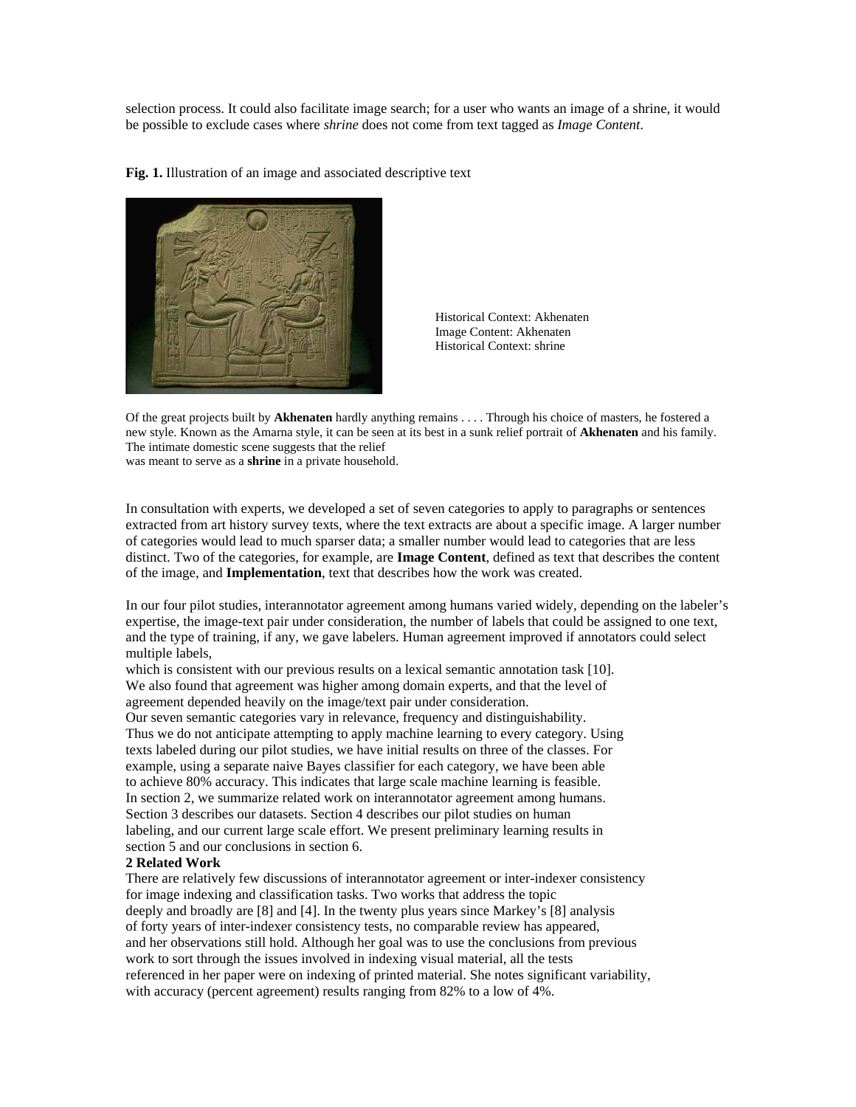selection process. It could also facilitate image search; for a user who wants an image of a shrine, it would be possible to exclude cases where *shrine* does not come from text tagged as *Image Content*.

**Fig. 1.** Illustration of an image and associated descriptive text



Historical Context: Akhenaten Image Content: Akhenaten Historical Context: shrine

Of the great projects built by **Akhenaten** hardly anything remains . . . . Through his choice of masters, he fostered a new style. Known as the Amarna style, it can be seen at its best in a sunk relief portrait of **Akhenaten** and his family. The intimate domestic scene suggests that the relief was meant to serve as a **shrine** in a private household.

In consultation with experts, we developed a set of seven categories to apply to paragraphs or sentences extracted from art history survey texts, where the text extracts are about a specific image. A larger number of categories would lead to much sparser data; a smaller number would lead to categories that are less distinct. Two of the categories, for example, are **Image Content**, defined as text that describes the content of the image, and **Implementation**, text that describes how the work was created.

In our four pilot studies, interannotator agreement among humans varied widely, depending on the labeler's expertise, the image-text pair under consideration, the number of labels that could be assigned to one text, and the type of training, if any, we gave labelers. Human agreement improved if annotators could select multiple labels,

which is consistent with our previous results on a lexical semantic annotation task [10]. We also found that agreement was higher among domain experts, and that the level of agreement depended heavily on the image/text pair under consideration. Our seven semantic categories vary in relevance, frequency and distinguishability. Thus we do not anticipate attempting to apply machine learning to every category. Using texts labeled during our pilot studies, we have initial results on three of the classes. For example, using a separate naive Bayes classifier for each category, we have been able to achieve 80% accuracy. This indicates that large scale machine learning is feasible. In section 2, we summarize related work on interannotator agreement among humans. Section 3 describes our datasets. Section 4 describes our pilot studies on human

labeling, and our current large scale effort. We present preliminary learning results in section 5 and our conclusions in section 6.

## **2 Related Work**

There are relatively few discussions of interannotator agreement or inter-indexer consistency for image indexing and classification tasks. Two works that address the topic deeply and broadly are [8] and [4]. In the twenty plus years since Markey's [8] analysis of forty years of inter-indexer consistency tests, no comparable review has appeared, and her observations still hold. Although her goal was to use the conclusions from previous work to sort through the issues involved in indexing visual material, all the tests referenced in her paper were on indexing of printed material. She notes significant variability, with accuracy (percent agreement) results ranging from 82% to a low of 4%.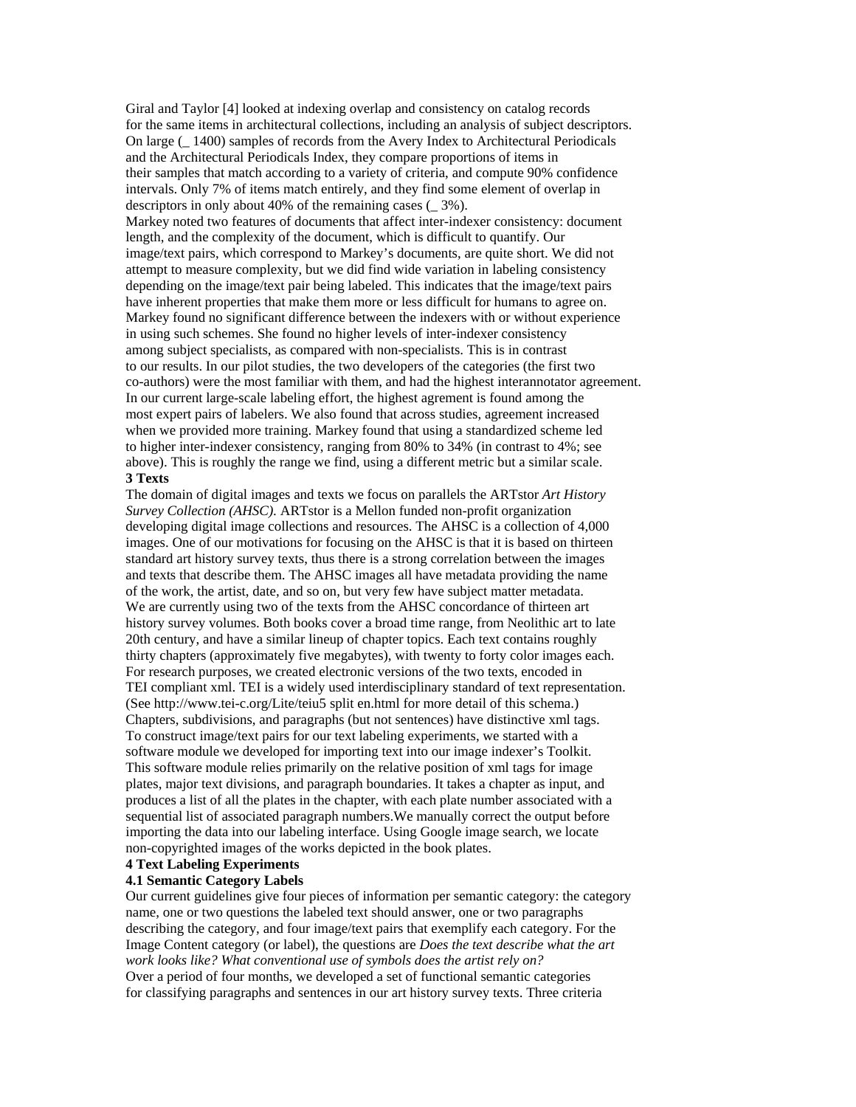Giral and Taylor [4] looked at indexing overlap and consistency on catalog records for the same items in architectural collections, including an analysis of subject descriptors. On large (\_ 1400) samples of records from the Avery Index to Architectural Periodicals and the Architectural Periodicals Index, they compare proportions of items in their samples that match according to a variety of criteria, and compute 90% confidence intervals. Only 7% of items match entirely, and they find some element of overlap in descriptors in only about 40% of the remaining cases (\_ 3%).

Markey noted two features of documents that affect inter-indexer consistency: document length, and the complexity of the document, which is difficult to quantify. Our image/text pairs, which correspond to Markey's documents, are quite short. We did not attempt to measure complexity, but we did find wide variation in labeling consistency depending on the image/text pair being labeled. This indicates that the image/text pairs have inherent properties that make them more or less difficult for humans to agree on. Markey found no significant difference between the indexers with or without experience in using such schemes. She found no higher levels of inter-indexer consistency among subject specialists, as compared with non-specialists. This is in contrast to our results. In our pilot studies, the two developers of the categories (the first two co-authors) were the most familiar with them, and had the highest interannotator agreement. In our current large-scale labeling effort, the highest agrement is found among the most expert pairs of labelers. We also found that across studies, agreement increased when we provided more training. Markey found that using a standardized scheme led to higher inter-indexer consistency, ranging from 80% to 34% (in contrast to 4%; see above). This is roughly the range we find, using a different metric but a similar scale. **3 Texts** 

The domain of digital images and texts we focus on parallels the ARTstor *Art History Survey Collection (AHSC)*. ARTstor is a Mellon funded non-profit organization developing digital image collections and resources. The AHSC is a collection of 4,000 images. One of our motivations for focusing on the AHSC is that it is based on thirteen standard art history survey texts, thus there is a strong correlation between the images and texts that describe them. The AHSC images all have metadata providing the name of the work, the artist, date, and so on, but very few have subject matter metadata. We are currently using two of the texts from the AHSC concordance of thirteen art history survey volumes. Both books cover a broad time range, from Neolithic art to late 20th century, and have a similar lineup of chapter topics. Each text contains roughly thirty chapters (approximately five megabytes), with twenty to forty color images each. For research purposes, we created electronic versions of the two texts, encoded in TEI compliant xml. TEI is a widely used interdisciplinary standard of text representation. (See http://www.tei-c.org/Lite/teiu5 split en.html for more detail of this schema.) Chapters, subdivisions, and paragraphs (but not sentences) have distinctive xml tags. To construct image/text pairs for our text labeling experiments, we started with a software module we developed for importing text into our image indexer's Toolkit. This software module relies primarily on the relative position of xml tags for image plates, major text divisions, and paragraph boundaries. It takes a chapter as input, and produces a list of all the plates in the chapter, with each plate number associated with a sequential list of associated paragraph numbers.We manually correct the output before importing the data into our labeling interface. Using Google image search, we locate non-copyrighted images of the works depicted in the book plates.

## **4 Text Labeling Experiments**

#### **4.1 Semantic Category Labels**

Our current guidelines give four pieces of information per semantic category: the category name, one or two questions the labeled text should answer, one or two paragraphs describing the category, and four image/text pairs that exemplify each category. For the Image Content category (or label), the questions are *Does the text describe what the art work looks like? What conventional use of symbols does the artist rely on?*  Over a period of four months, we developed a set of functional semantic categories for classifying paragraphs and sentences in our art history survey texts. Three criteria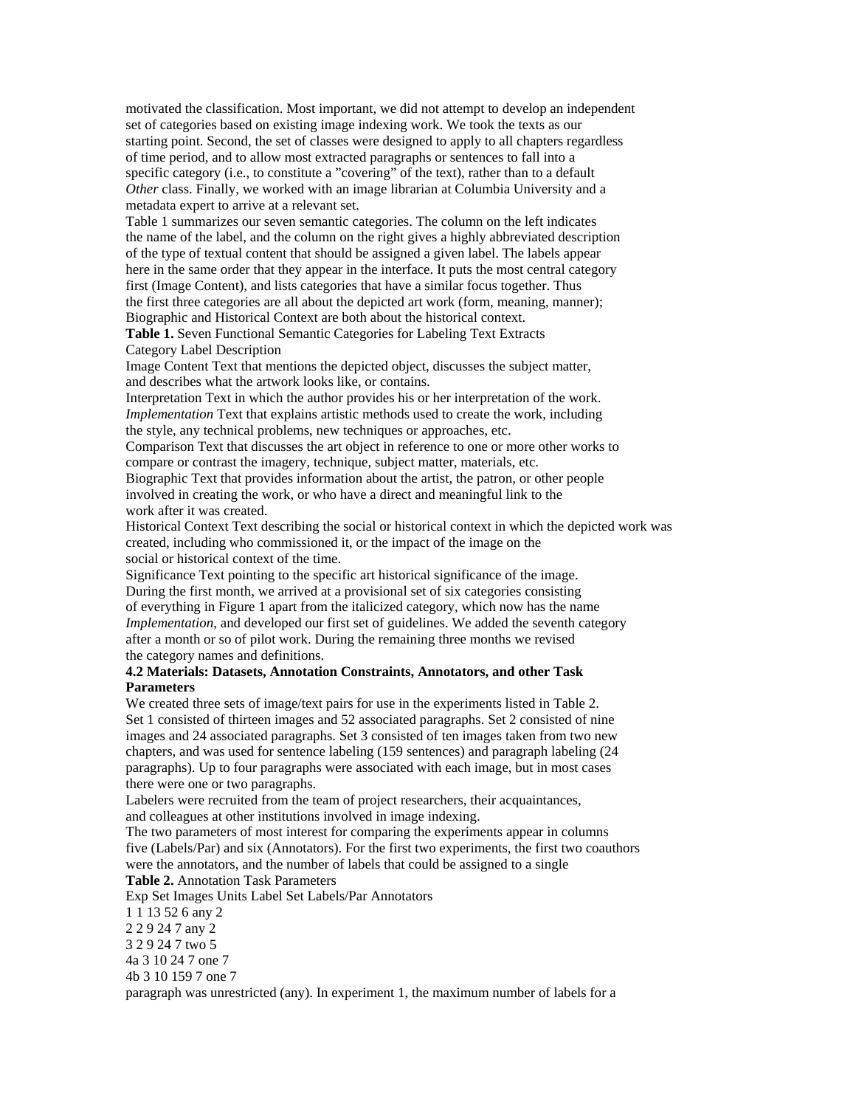motivated the classification. Most important, we did not attempt to develop an independent set of categories based on existing image indexing work. We took the texts as our starting point. Second, the set of classes were designed to apply to all chapters regardless of time period, and to allow most extracted paragraphs or sentences to fall into a specific category (i.e., to constitute a "covering" of the text), rather than to a default *Other* class. Finally, we worked with an image librarian at Columbia University and a metadata expert to arrive at a relevant set.

Table 1 summarizes our seven semantic categories. The column on the left indicates the name of the label, and the column on the right gives a highly abbreviated description of the type of textual content that should be assigned a given label. The labels appear here in the same order that they appear in the interface. It puts the most central category first (Image Content), and lists categories that have a similar focus together. Thus the first three categories are all about the depicted art work (form, meaning, manner); Biographic and Historical Context are both about the historical context.

**Table 1.** Seven Functional Semantic Categories for Labeling Text Extracts Category Label Description

Image Content Text that mentions the depicted object, discusses the subject matter, and describes what the artwork looks like, or contains.

Interpretation Text in which the author provides his or her interpretation of the work. *Implementation* Text that explains artistic methods used to create the work, including the style, any technical problems, new techniques or approaches, etc.

Comparison Text that discusses the art object in reference to one or more other works to compare or contrast the imagery, technique, subject matter, materials, etc. Biographic Text that provides information about the artist, the patron, or other people

involved in creating the work, or who have a direct and meaningful link to the work after it was created.

Historical Context Text describing the social or historical context in which the depicted work was created, including who commissioned it, or the impact of the image on the social or historical context of the time.

Significance Text pointing to the specific art historical significance of the image. During the first month, we arrived at a provisional set of six categories consisting of everything in Figure 1 apart from the italicized category, which now has the name *Implementation*, and developed our first set of guidelines. We added the seventh category after a month or so of pilot work. During the remaining three months we revised the category names and definitions.

### **4.2 Materials: Datasets, Annotation Constraints, Annotators, and other Task Parameters**

We created three sets of image/text pairs for use in the experiments listed in Table 2. Set 1 consisted of thirteen images and 52 associated paragraphs. Set 2 consisted of nine images and 24 associated paragraphs. Set 3 consisted of ten images taken from two new chapters, and was used for sentence labeling (159 sentences) and paragraph labeling (24 paragraphs). Up to four paragraphs were associated with each image, but in most cases there were one or two paragraphs.

Labelers were recruited from the team of project researchers, their acquaintances, and colleagues at other institutions involved in image indexing.

The two parameters of most interest for comparing the experiments appear in columns five (Labels/Par) and six (Annotators). For the first two experiments, the first two coauthors were the annotators, and the number of labels that could be assigned to a single **Table 2.** Annotation Task Parameters

Exp Set Images Units Label Set Labels/Par Annotators

1 1 13 52 6 any 2

2 2 9 24 7 any 2

3 2 9 24 7 two 5

4a 3 10 24 7 one 7

4b 3 10 159 7 one 7

paragraph was unrestricted (any). In experiment 1, the maximum number of labels for a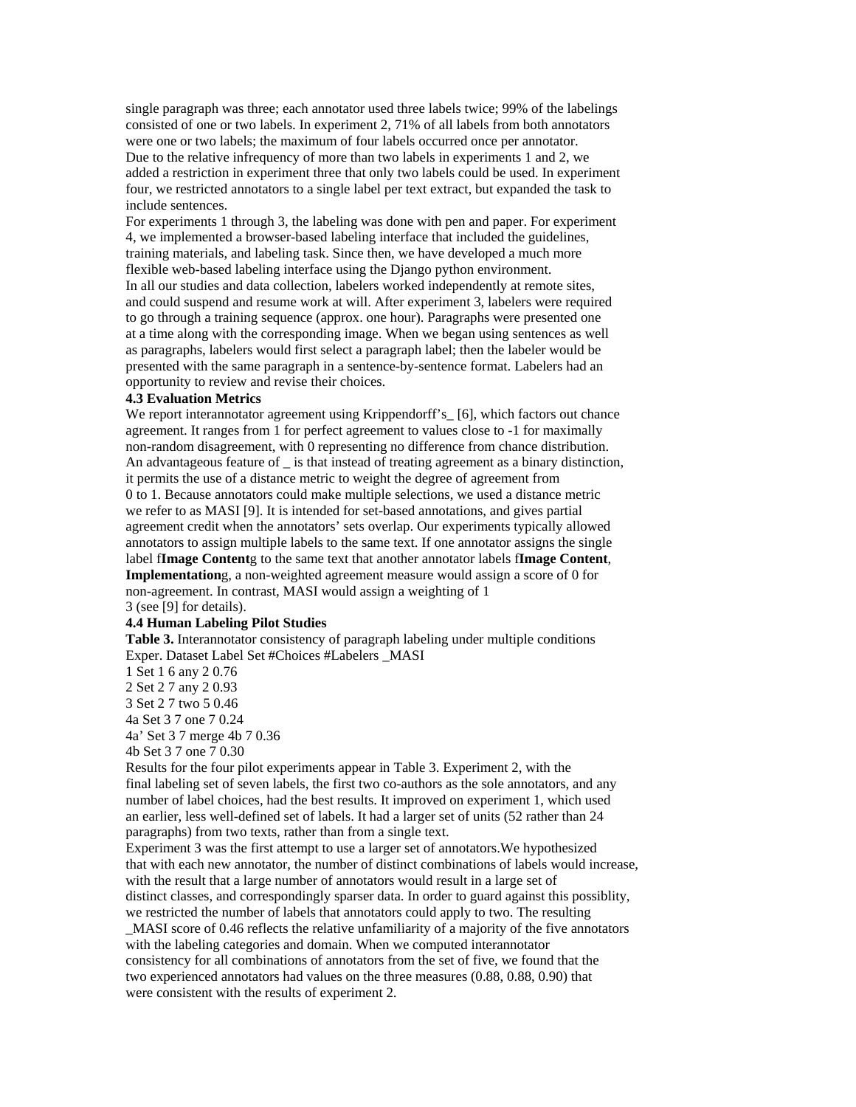single paragraph was three; each annotator used three labels twice; 99% of the labelings consisted of one or two labels. In experiment 2, 71% of all labels from both annotators were one or two labels; the maximum of four labels occurred once per annotator. Due to the relative infrequency of more than two labels in experiments 1 and 2, we added a restriction in experiment three that only two labels could be used. In experiment four, we restricted annotators to a single label per text extract, but expanded the task to include sentences.

For experiments 1 through 3, the labeling was done with pen and paper. For experiment 4, we implemented a browser-based labeling interface that included the guidelines, training materials, and labeling task. Since then, we have developed a much more flexible web-based labeling interface using the Django python environment. In all our studies and data collection, labelers worked independently at remote sites, and could suspend and resume work at will. After experiment 3, labelers were required to go through a training sequence (approx. one hour). Paragraphs were presented one at a time along with the corresponding image. When we began using sentences as well as paragraphs, labelers would first select a paragraph label; then the labeler would be presented with the same paragraph in a sentence-by-sentence format. Labelers had an opportunity to review and revise their choices.

#### **4.3 Evaluation Metrics**

We report interannotator agreement using Krippendorff's\_[6], which factors out chance agreement. It ranges from 1 for perfect agreement to values close to -1 for maximally non-random disagreement, with 0 representing no difference from chance distribution. An advantageous feature of \_ is that instead of treating agreement as a binary distinction, it permits the use of a distance metric to weight the degree of agreement from 0 to 1. Because annotators could make multiple selections, we used a distance metric we refer to as MASI [9]. It is intended for set-based annotations, and gives partial agreement credit when the annotators' sets overlap. Our experiments typically allowed annotators to assign multiple labels to the same text. If one annotator assigns the single label f**Image Content**g to the same text that another annotator labels f**Image Content**, **Implementation**g, a non-weighted agreement measure would assign a score of 0 for non-agreement. In contrast, MASI would assign a weighting of 1 3 (see [9] for details).

#### **4.4 Human Labeling Pilot Studies**

**Table 3.** Interannotator consistency of paragraph labeling under multiple conditions Exper. Dataset Label Set #Choices #Labelers \_MASI

1 Set 1 6 any 2 0.76

2 Set 2 7 any 2 0.93

3 Set 2 7 two 5 0.46

4a Set 3 7 one 7 0.24

4a' Set 3 7 merge 4b 7 0.36

4b Set 3 7 one 7 0.30

Results for the four pilot experiments appear in Table 3. Experiment 2, with the final labeling set of seven labels, the first two co-authors as the sole annotators, and any number of label choices, had the best results. It improved on experiment 1, which used an earlier, less well-defined set of labels. It had a larger set of units (52 rather than 24 paragraphs) from two texts, rather than from a single text.

Experiment 3 was the first attempt to use a larger set of annotators.We hypothesized that with each new annotator, the number of distinct combinations of labels would increase, with the result that a large number of annotators would result in a large set of distinct classes, and correspondingly sparser data. In order to guard against this possiblity, we restricted the number of labels that annotators could apply to two. The resulting

\_MASI score of 0.46 reflects the relative unfamiliarity of a majority of the five annotators with the labeling categories and domain. When we computed interannotator consistency for all combinations of annotators from the set of five, we found that the two experienced annotators had values on the three measures (0.88, 0.88, 0.90) that were consistent with the results of experiment 2.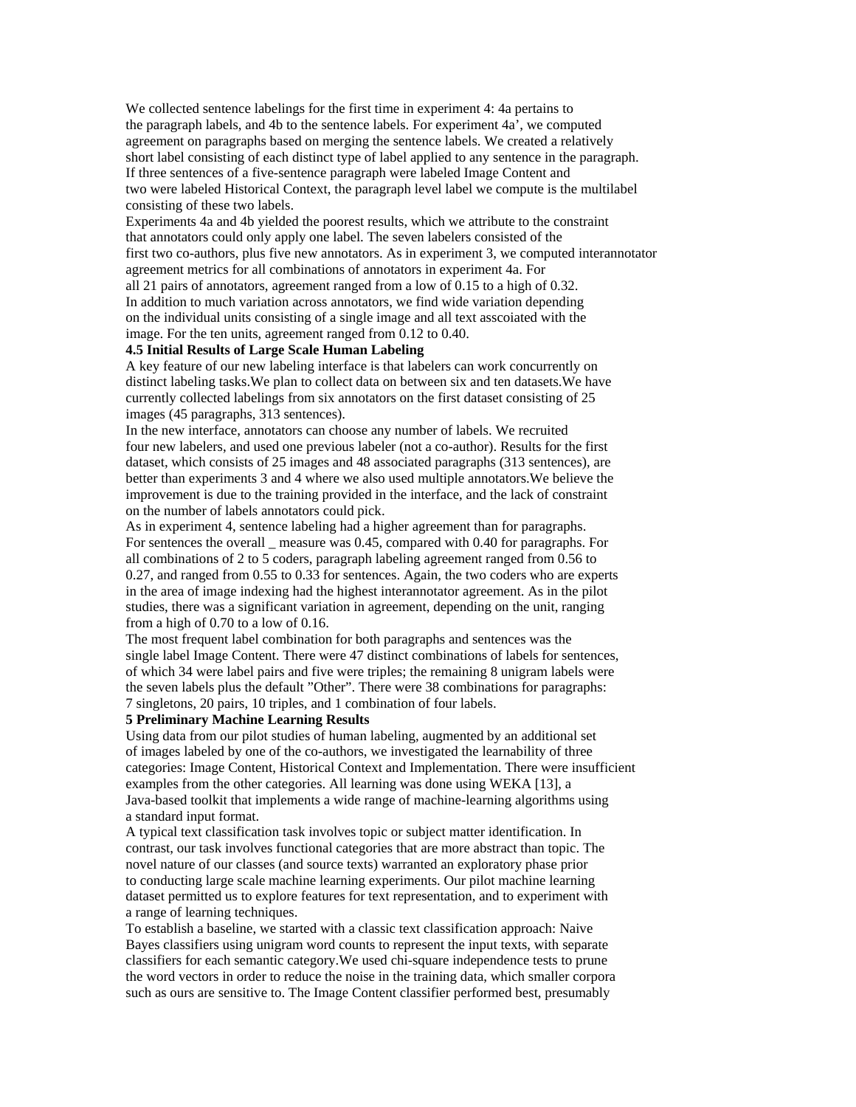We collected sentence labelings for the first time in experiment 4: 4a pertains to the paragraph labels, and 4b to the sentence labels. For experiment 4a', we computed agreement on paragraphs based on merging the sentence labels. We created a relatively short label consisting of each distinct type of label applied to any sentence in the paragraph. If three sentences of a five-sentence paragraph were labeled Image Content and two were labeled Historical Context, the paragraph level label we compute is the multilabel consisting of these two labels.

Experiments 4a and 4b yielded the poorest results, which we attribute to the constraint that annotators could only apply one label. The seven labelers consisted of the first two co-authors, plus five new annotators. As in experiment 3, we computed interannotator agreement metrics for all combinations of annotators in experiment 4a. For all 21 pairs of annotators, agreement ranged from a low of 0.15 to a high of 0.32. In addition to much variation across annotators, we find wide variation depending on the individual units consisting of a single image and all text asscoiated with the image. For the ten units, agreement ranged from 0.12 to 0.40.

## **4.5 Initial Results of Large Scale Human Labeling**

A key feature of our new labeling interface is that labelers can work concurrently on distinct labeling tasks.We plan to collect data on between six and ten datasets.We have currently collected labelings from six annotators on the first dataset consisting of 25 images (45 paragraphs, 313 sentences).

In the new interface, annotators can choose any number of labels. We recruited four new labelers, and used one previous labeler (not a co-author). Results for the first dataset, which consists of 25 images and 48 associated paragraphs (313 sentences), are better than experiments 3 and 4 where we also used multiple annotators.We believe the improvement is due to the training provided in the interface, and the lack of constraint on the number of labels annotators could pick.

As in experiment 4, sentence labeling had a higher agreement than for paragraphs. For sentences the overall measure was 0.45, compared with 0.40 for paragraphs. For all combinations of 2 to 5 coders, paragraph labeling agreement ranged from 0.56 to 0.27, and ranged from 0.55 to 0.33 for sentences. Again, the two coders who are experts in the area of image indexing had the highest interannotator agreement. As in the pilot studies, there was a significant variation in agreement, depending on the unit, ranging from a high of 0.70 to a low of 0.16.

The most frequent label combination for both paragraphs and sentences was the single label Image Content. There were 47 distinct combinations of labels for sentences, of which 34 were label pairs and five were triples; the remaining 8 unigram labels were the seven labels plus the default "Other". There were 38 combinations for paragraphs: 7 singletons, 20 pairs, 10 triples, and 1 combination of four labels.

#### **5 Preliminary Machine Learning Results**

Using data from our pilot studies of human labeling, augmented by an additional set of images labeled by one of the co-authors, we investigated the learnability of three categories: Image Content, Historical Context and Implementation. There were insufficient examples from the other categories. All learning was done using WEKA [13], a Java-based toolkit that implements a wide range of machine-learning algorithms using a standard input format.

A typical text classification task involves topic or subject matter identification. In contrast, our task involves functional categories that are more abstract than topic. The novel nature of our classes (and source texts) warranted an exploratory phase prior to conducting large scale machine learning experiments. Our pilot machine learning dataset permitted us to explore features for text representation, and to experiment with a range of learning techniques.

To establish a baseline, we started with a classic text classification approach: Naive Bayes classifiers using unigram word counts to represent the input texts, with separate classifiers for each semantic category.We used chi-square independence tests to prune the word vectors in order to reduce the noise in the training data, which smaller corpora such as ours are sensitive to. The Image Content classifier performed best, presumably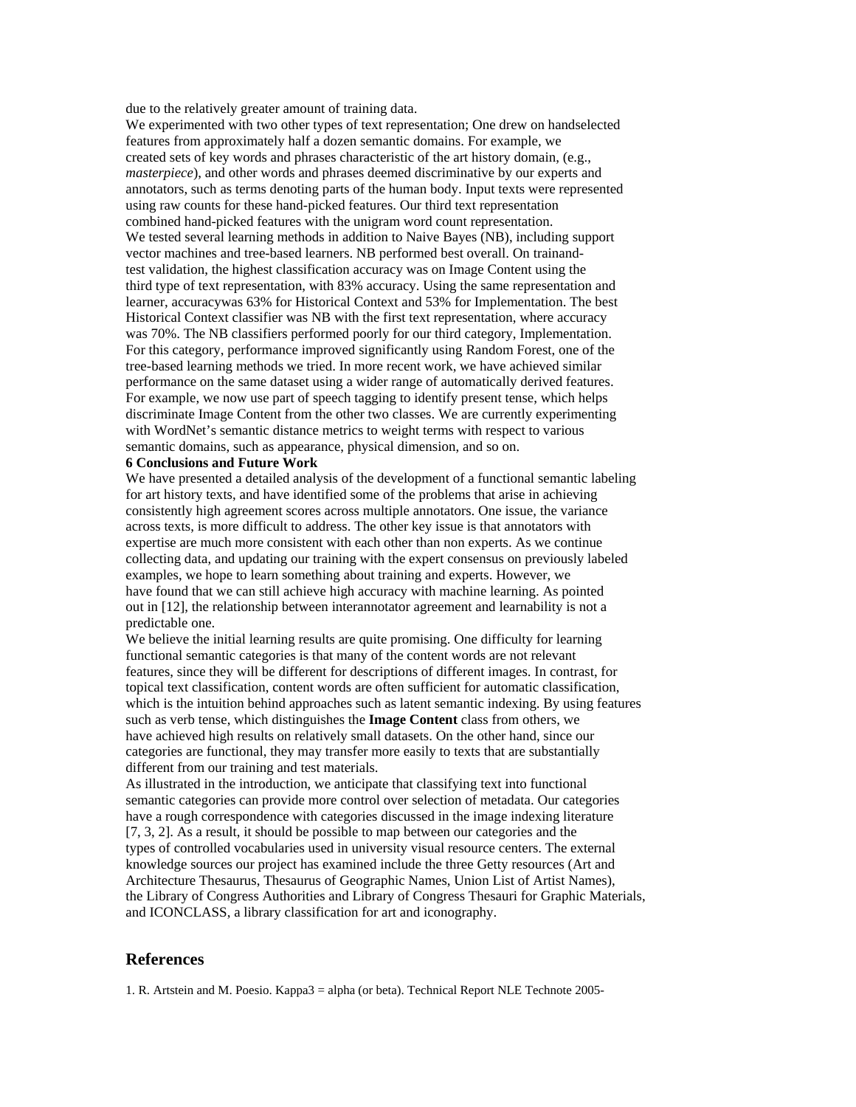due to the relatively greater amount of training data.

We experimented with two other types of text representation; One drew on handselected features from approximately half a dozen semantic domains. For example, we created sets of key words and phrases characteristic of the art history domain, (e.g., *masterpiece*), and other words and phrases deemed discriminative by our experts and annotators, such as terms denoting parts of the human body. Input texts were represented using raw counts for these hand-picked features. Our third text representation combined hand-picked features with the unigram word count representation. We tested several learning methods in addition to Naive Bayes (NB), including support vector machines and tree-based learners. NB performed best overall. On trainandtest validation, the highest classification accuracy was on Image Content using the third type of text representation, with 83% accuracy. Using the same representation and learner, accuracywas 63% for Historical Context and 53% for Implementation. The best Historical Context classifier was NB with the first text representation, where accuracy was 70%. The NB classifiers performed poorly for our third category, Implementation. For this category, performance improved significantly using Random Forest, one of the tree-based learning methods we tried. In more recent work, we have achieved similar performance on the same dataset using a wider range of automatically derived features. For example, we now use part of speech tagging to identify present tense, which helps discriminate Image Content from the other two classes. We are currently experimenting with WordNet's semantic distance metrics to weight terms with respect to various semantic domains, such as appearance, physical dimension, and so on.

#### **6 Conclusions and Future Work**

We have presented a detailed analysis of the development of a functional semantic labeling for art history texts, and have identified some of the problems that arise in achieving consistently high agreement scores across multiple annotators. One issue, the variance across texts, is more difficult to address. The other key issue is that annotators with expertise are much more consistent with each other than non experts. As we continue collecting data, and updating our training with the expert consensus on previously labeled examples, we hope to learn something about training and experts. However, we have found that we can still achieve high accuracy with machine learning. As pointed out in [12], the relationship between interannotator agreement and learnability is not a predictable one.

We believe the initial learning results are quite promising. One difficulty for learning functional semantic categories is that many of the content words are not relevant features, since they will be different for descriptions of different images. In contrast, for topical text classification, content words are often sufficient for automatic classification, which is the intuition behind approaches such as latent semantic indexing. By using features such as verb tense, which distinguishes the **Image Content** class from others, we have achieved high results on relatively small datasets. On the other hand, since our categories are functional, they may transfer more easily to texts that are substantially different from our training and test materials.

As illustrated in the introduction, we anticipate that classifying text into functional semantic categories can provide more control over selection of metadata. Our categories have a rough correspondence with categories discussed in the image indexing literature [7, 3, 2]. As a result, it should be possible to map between our categories and the types of controlled vocabularies used in university visual resource centers. The external knowledge sources our project has examined include the three Getty resources (Art and Architecture Thesaurus, Thesaurus of Geographic Names, Union List of Artist Names), the Library of Congress Authorities and Library of Congress Thesauri for Graphic Materials, and ICONCLASS, a library classification for art and iconography.

#### **References**

1. R. Artstein and M. Poesio. Kappa3 = alpha (or beta). Technical Report NLE Technote 2005-